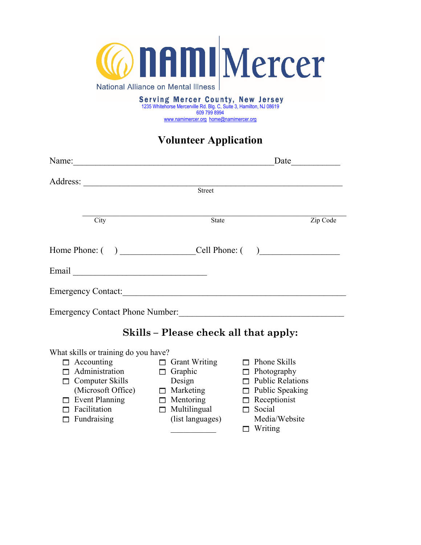

Serving Mercer County, New Jersey<br>1235 Whitehorse Mercerville Rd. Blg. C, Suite 3, Hamilton, NJ 08619 609 799 8994 www.namimercer.org home@namimercer.org

## **Volunteer Application**

| Name:                                  |                                                            | Date |          |
|----------------------------------------|------------------------------------------------------------|------|----------|
| Address:                               |                                                            |      |          |
|                                        | <b>Street</b>                                              |      |          |
|                                        |                                                            |      |          |
| City                                   | <b>State</b>                                               |      | Zip Code |
|                                        |                                                            |      |          |
| Home Phone: $($ )                      | Cell Phone: $\begin{pmatrix} 1 & 1 \\ 1 & 1 \end{pmatrix}$ |      |          |
|                                        |                                                            |      |          |
| <b>Emergency Contact:</b>              |                                                            |      |          |
| <b>Emergency Contact Phone Number:</b> |                                                            |      |          |

## **Skills – Please check all that apply:**

What skills or training do you have?

- $\Box$  Accounting
- $\Box$  Grant Writing
- Administration  $\Box$  Computer Skills
- (Microsoft Office)
- $\Box$  Event Planning
- $\Box$  Facilitation
- $\Box$  Fundraising
- $\Box$  Graphic
- Design
- $\Box$  Marketing
- $\Box$  Mentoring
- $\Box$  Multilingual
- (list languages)

 $\overline{\phantom{a}}$ 

- $\Box$  Phone Skills
- $\Box$  Photography
- $\Box$  Public Relations
- $\Box$  Public Speaking
- $\Box$  Receptionist
- $\Box$  Social
- Media/Website
- $\Box$  Writing